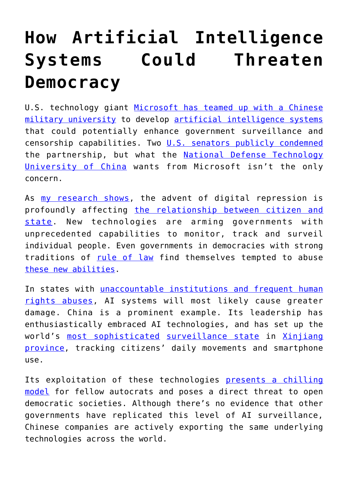## **[How Artificial Intelligence](https://intellectualtakeout.org/2019/04/how-artificial-intelligence-systems-could-threaten-democracy/) [Systems Could Threaten](https://intellectualtakeout.org/2019/04/how-artificial-intelligence-systems-could-threaten-democracy/) [Democracy](https://intellectualtakeout.org/2019/04/how-artificial-intelligence-systems-could-threaten-democracy/)**

U.S. technology giant [Microsoft has teamed up with a Chinese](https://www.ft.com/content/9378e7ee-5ae6-11e9-9dde-7aedca0a081a) [military university](https://www.ft.com/content/9378e7ee-5ae6-11e9-9dde-7aedca0a081a) to develop [artificial intelligence systems](https://www.irishtimes.com/business/technology/microsoft-worked-with-chinese-military-university-on-ai-1.3855553) that could potentially enhance government surveillance and censorship capabilities. Two [U.S. senators publicly condemned](https://www.ft.com/content/5f5916fc-5be3-11e9-939a-341f5ada9d40) the partnership, but what the [National Defense Technology](http://www.nudt.edu.cn/index_eng.htm) [University of China](http://www.nudt.edu.cn/index_eng.htm) wants from Microsoft isn't the only concern.

As [my research shows,](https://scholar.google.com/citations?user=OgVZmm4AAAAJ&hl=en) the advent of digital repression is profoundly affecting [the relationship between citizen and](https://doi.org/10.1353/jod.2019.0003) [state.](https://doi.org/10.1353/jod.2019.0003) New technologies are arming governments with unprecedented capabilities to monitor, track and surveil individual people. Even governments in democracies with strong traditions of [rule of law](https://theconversation.com/is-trumps-definition-of-the-rule-of-law-the-same-as-the-us-constitutions-77598) find themselves tempted to abuse [these new abilities.](https://qz.com/813672/half-of-the-united-states-is-registered-in-police-facial-recognition-databases-and-its-completely-unregulated/)

In states with [unaccountable institutions and frequent human](https://www.foreignaffairs.com/articles/world/2018-07-10/how-artificial-intelligence-will-reshape-global-order) [rights abuses](https://www.foreignaffairs.com/articles/world/2018-07-10/how-artificial-intelligence-will-reshape-global-order), AI systems will most likely cause greater damage. China is a prominent example. Its leadership has enthusiastically embraced AI technologies, and has set up the world's [most sophisticated](https://www.nytimes.com/interactive/2019/04/04/world/asia/xinjiang-china-surveillance-prison.html) [surveillance state](https://www.engadget.com/2018/02/22/china-xinjiang-surveillance-tech-spread/) in [Xinjiang](https://www.theguardian.com/world/2019/feb/18/chinese-surveillance-company-tracking-25m-xinjiang-residents) [province](https://www.theguardian.com/world/2019/feb/18/chinese-surveillance-company-tracking-25m-xinjiang-residents), tracking citizens' daily movements and smartphone use.

Its exploitation of these technologies [presents a chilling](https://www.georgesoros.com/2019/01/24/remarks-delivered-at-the-world-economic-forum-2/) [model](https://www.georgesoros.com/2019/01/24/remarks-delivered-at-the-world-economic-forum-2/) for fellow autocrats and poses a direct threat to open democratic societies. Although there's no evidence that other governments have replicated this level of AI surveillance, Chinese companies are actively exporting the same underlying technologies across the world.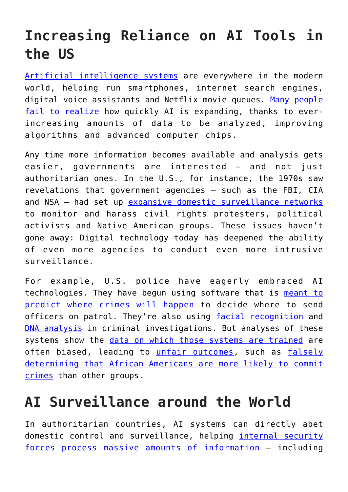## **Increasing Reliance on AI Tools in the US**

[Artificial intelligence systems](https://ai.stanford.edu/%7Enilsson/QAI/qai.pdf) are everywhere in the modern world, helping run smartphones, internet search engines, digital voice assistants and Netflix movie queues. [Many people](https://governanceai.github.io/US-Public-Opinion-Report-Jan-2019/) [fail to realize](https://governanceai.github.io/US-Public-Opinion-Report-Jan-2019/) how quickly AI is expanding, thanks to everincreasing amounts of data to be analyzed, improving algorithms and advanced computer chips.

Any time more information becomes available and analysis gets easier, governments are interested — and not just authoritarian ones. In the U.S., for instance, the 1970s saw revelations that government agencies — such as the FBI, CIA and NSA — had set up [expansive domestic surveillance networks](https://www.intelligence.senate.gov/sites/default/files/94755_II.pdf) to monitor and harass civil rights protesters, political activists and Native American groups. These issues haven't gone away: Digital technology today has deepened the ability of even more agencies to conduct even more intrusive surveillance.

For example, U.S. police have eagerly embraced AI technologies. They have begun using software that is [meant to](https://theconversation.com/why-big-data-analysis-of-police-activity-is-inherently-biased-72640) [predict where crimes will happen](https://theconversation.com/why-big-data-analysis-of-police-activity-is-inherently-biased-72640) to decide where to send officers on patrol. They're also using [facial recognition](https://www.nbcnews.com/news/us-news/facial-recognition-gives-police-powerful-new-tracking-tool-it-s-n894936) and [DNA analysis](https://www.washingtonpost.com/crime-law/2018/12/13/fbi-plans-rapid-dna-network-quick-database-checks-arrestees/) in criminal investigations. But analyses of these systems show the [data on which those systems are trained](https://theconversation.com/congress-takes-first-steps-toward-regulating-artificial-intelligence-104373) are often biased, leading to [unfair outcomes,](https://theconversation.com/did-artificial-intelligence-deny-you-credit-73259) such as [falsely](https://www.propublica.org/article/machine-bias-risk-assessments-in-criminal-sentencing) [determining that African Americans are more likely to commit](https://www.propublica.org/article/machine-bias-risk-assessments-in-criminal-sentencing) [crimes](https://www.propublica.org/article/machine-bias-risk-assessments-in-criminal-sentencing) than other groups.

## **AI Surveillance around the World**

In authoritarian countries, AI systems can directly abet domestic control and surveillance, helping *[internal security](https://www.power3point0.org/2018/01/25/hybrid-repression-online-and-offline-in-china-foretelling-the-human-rights-struggle-to-come/)* [forces process massive amounts of information](https://www.power3point0.org/2018/01/25/hybrid-repression-online-and-offline-in-china-foretelling-the-human-rights-struggle-to-come/) — including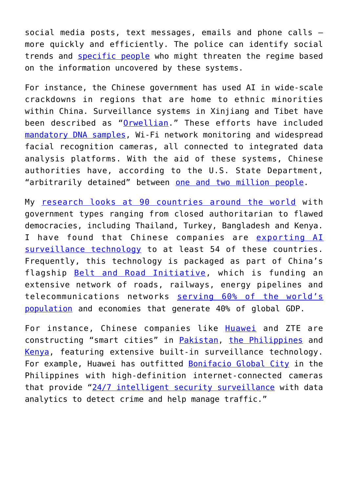social media posts, text messages, emails and phone calls more quickly and efficiently. The police can identify social trends and [specific people](https://www.apnews.com/bf75dd1c26c947b7826d270a16e2658a) who might threaten the regime based on the information uncovered by these systems.

For instance, the Chinese government has used AI in wide-scale crackdowns in regions that are home to ethnic minorities within China. Surveillance systems in Xinjiang and Tibet have been described as "[Orwellian](https://foreignpolicy.com/2019/03/19/962492-orwell-china-socialcredit-surveillance/)." These efforts have included [mandatory DNA samples](https://www.nytimes.com/2019/02/21/business/china-xinjiang-uighur-dna-thermo-fisher.html), Wi-Fi network monitoring and widespread facial recognition cameras, all connected to integrated data analysis platforms. With the aid of these systems, Chinese authorities have, according to the U.S. State Department, "arbitrarily detained" between [one and two million people.](https://www.state.gov/j/drl/rls/hrrpt/humanrightsreport/index.htm?year=2018&dlid=289037#wrapper)

My [research looks at 90 countries around the world](https://papers.ssrn.com/sol3/papers.cfm?abstract_id=3374575) with government types ranging from closed authoritarian to flawed democracies, including Thailand, Turkey, Bangladesh and Kenya. I have found that Chinese companies are [exporting AI](https://carnegieendowment.org/2019/01/22/we-need-to-get-smart-about-how-governments-use-ai-pub-78179) [surveillance technology](https://carnegieendowment.org/2019/01/22/we-need-to-get-smart-about-how-governments-use-ai-pub-78179) to at least 54 of these countries. Frequently, this technology is packaged as part of China's flagship [Belt and Road Initiative,](https://eng.yidaiyilu.gov.cn/) which is funding an extensive network of roads, railways, energy pipelines and telecommunications networks [serving 60% of the world's](https://www.knightfrank.com/blog/2018/01/30/an-insight-into-the-belt-and-road-initiative) [population](https://www.knightfrank.com/blog/2018/01/30/an-insight-into-the-belt-and-road-initiative) and economies that generate 40% of global GDP.

For instance, Chinese companies like **[Huawei](https://e.huawei.com/us/solutions/industries/smart-city)** and ZTE are constructing "smart cities" in [Pakistan,](https://www.dawn.com/news/1333101) [the Philippines](https://e.huawei.com/en/case-studies/global/2017/201704261658) and [Kenya](http://www.chinadaily.com.cn/world/2017-05/16/content_29372143.htm), featuring extensive built-in surveillance technology. For example, Huawei has outfitted [Bonifacio Global City](https://bgc.com.ph/) in the Philippines with high-definition internet-connected cameras that provide "[24/7 intelligent security surveillance](https://e.huawei.com/en/case-studies/global/2017/201704261658) with data analytics to detect crime and help manage traffic."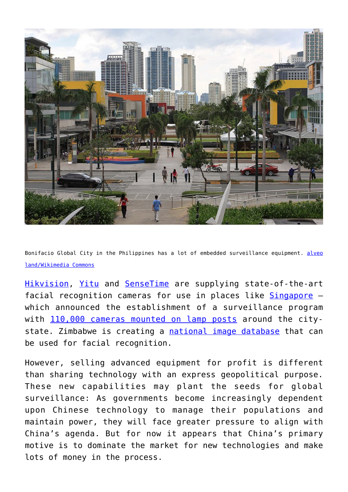

Bonifacio Global City in the Philippines has a lot of embedded surveillance equipment. [alveo](https://en.wikipedia.org/wiki/File:Bonifacio_Global_City_2.jpg) [land/Wikimedia Commons](https://en.wikipedia.org/wiki/File:Bonifacio_Global_City_2.jpg)

[Hikvision,](https://foreignpolicy.com/2018/06/13/in-chinas-far-west-companies-cash-in-on-surveillance-program-that-targets-muslims/) [Yitu](https://www.scmp.com/tech/social-gadgets/article/2142497/malaysian-police-wear-chinese-start-ups-ai-camera-identify) and [SenseTime](https://qz.com/1248493/sensetime-the-billion-dollar-alibaba-backed-ai-company-thats-quietly-watching-everyone-in-china/) are supplying state-of-the-art facial recognition cameras for use in places like [Singapore](https://www.albawaba.com/news/china%E2%80%99s-newest-global-export-policing-dissidents-1139230) which announced the establishment of a surveillance program with [110,000 cameras mounted on lamp posts](https://www.reuters.com/article/us-singapore-surveillance/singapore-to-test-facial-recognition-on-lampposts-stoking-privacy-fears-idUSKBN1HK0RV) around the citystate. Zimbabwe is creating a [national image database](https://foreignpolicy.com/2018/07/24/beijings-big-brother-tech-needs-african-faces/) that can be used for facial recognition.

However, selling advanced equipment for profit is different than sharing technology with an express geopolitical purpose. These new capabilities may plant the seeds for global surveillance: As governments become increasingly dependent upon Chinese technology to manage their populations and maintain power, they will face greater pressure to align with China's agenda. But for now it appears that China's primary motive is to dominate the market for new technologies and make lots of money in the process.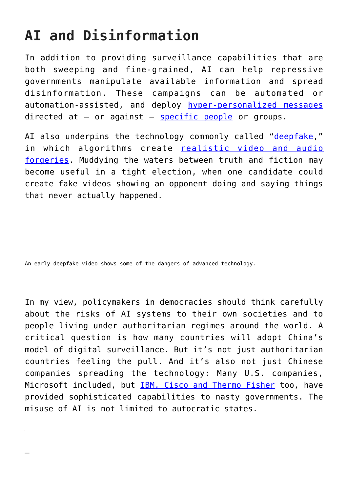## **AI and Disinformation**

In addition to providing surveillance capabilities that are both sweeping and fine-grained, AI can help repressive governments manipulate available information and spread disinformation. These campaigns can be automated or automation-assisted, and deploy [hyper-personalized messages](https://theconversation.com/solving-the-political-ad-problem-with-transparency-85366) directed at  $-$  or against  $-$  [specific people](https://www.nytimes.com/2018/10/20/us/politics/saudi-image-campaign-twitter.html) or groups.

AI also underpins the technology commonly called "[deepfake](https://www.technologyreview.com/s/612501/inside-the-world-of-ai-that-forges-beautiful-art-and-terrifying-deepfakes/)," in which algorithms create **[realistic video and audio](https://theconversation.com/detecting-deepfake-videos-in-the-blink-of-an-eye-101072)** [forgeries](https://theconversation.com/detecting-deepfake-videos-in-the-blink-of-an-eye-101072). Muddying the waters between truth and fiction may become useful in a tight election, when one candidate could create fake videos showing an opponent doing and saying things that never actually happened.

An early deepfake video shows some of the dangers of advanced technology.

*—*

In my view, policymakers in democracies should think carefully about the risks of AI systems to their own societies and to people living under authoritarian regimes around the world. A critical question is how many countries will adopt China's model of digital surveillance. But it's not just authoritarian countries feeling the pull. And it's also not just Chinese companies spreading the technology: Many U.S. companies, Microsoft included, but [IBM, Cisco and Thermo Fisher](https://www.axios.com/china-us-technology-surveillance-state-5672b822-fdde-45f9-ac77-e7b5574e9351.html) too, have provided sophisticated capabilities to nasty governments. The misuse of AI is not limited to autocratic states.